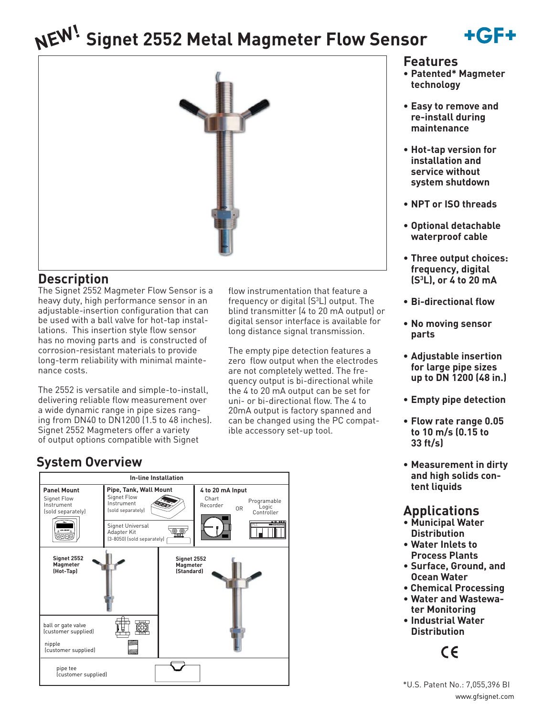# **Signet 2552 Metal Magmeter Flow Sensor NEW!**





## **Description**

The Signet 2552 Magmeter Flow Sensor is a heavy duty, high performance sensor in an adjustable-insertion configuration that can be used with a ball valve for hot-tap installations. This insertion style flow sensor has no moving parts and is constructed of corrosion-resistant materials to provide long-term reliability with minimal maintenance costs.

The 2552 is versatile and simple-to-install, delivering reliable flow measurement over a wide dynamic range in pipe sizes ranging from DN40 to DN1200 (1.5 to 48 inches). Signet 2552 Magmeters offer a variety of output options compatible with Signet

# **System Overview**



flow instrumentation that feature a frequency or digital  $(S^3L)$  output. The blind transmitter (4 to 20 mA output) or digital sensor interface is available for long distance signal transmission.

The empty pipe detection features a zero flow output when the electrodes are not completely wetted. The frequency output is bi-directional while the 4 to 20 mA output can be set for uni- or bi-directional flow. The 4 to 20mA output is factory spanned and can be changed using the PC compatible accessory set-up tool.

#### **Features**

- **Patented\* Magmeter technology**
- **Easy to remove and re-install during maintenance**
- **Hot-tap version for installation and service without system shutdown**
- **NPT or ISO threads**
- **Optional detachable waterproof cable**
- **Three output choices: frequency, digital (S3 L), or 4 to 20 mA**
- **Bi-directional flow**
- **No moving sensor parts**
- **Adjustable insertion for large pipe sizes up to DN 1200 (48 in.)**
- **Empty pipe detection**
- **Flow rate range 0.05 to 10 m/s (0.15 to 33 ft/s)**
- **Measurement in dirty and high solids content liquids**

# **Applications**

- **Municipal Water Distribution**
- **Water Inlets to Process Plants**
- **Surface, Ground, and Ocean Water**
- **Chemical Processing**
- **Water and Wastewater Monitoring**
- **Industrial Water Distribution**

 $\epsilon$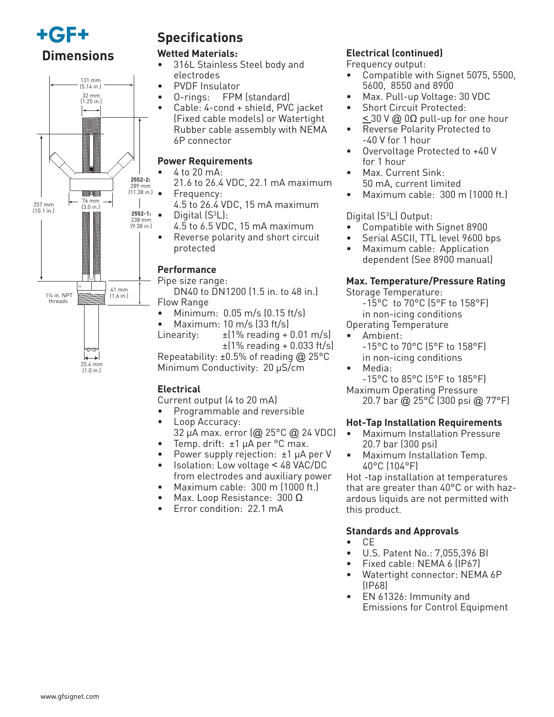



25.4 mm (1.0 in.)

# **Specifications**

#### **Wetted Materials:**

- 316L Stainless Steel body and electrodes
- PVDF Insulator
- O-rings: FPM (standard)
- Cable: 4-cond + shield, PVC jacket (Fixed cable models) or Watertight Rubber cable assembly with NEMA 6P connector

#### **Power Requirements**

- 4 to 20 mA:
	- 21.6 to 26.4 VDC, 22.1 mA maximum • Frequency:
- 4.5 to 26.4 VDC, 15 mA maximum  $\bullet$  Digital (S<sup>3</sup>L):
- 4.5 to 6.5 VDC, 15 mA maximum
- Reverse polarity and short circuit protected

### **Performance**

### Pipe size range:

 DN40 to DN1200 (1.5 in. to 48 in.) Flow Range

- $\bullet$  Minimum: 0.05 m/s  $(0.15 \text{ ft/s})$
- Maximum:  $10 \text{ m/s}$   $(33 \text{ ft/s})$

Linearity:  $\pm$  (1% reading + 0.01 m/s)  $±(1\%$  reading  $+0.033$  ft/s)

Repeatability:  $\pm 0.5\%$  of reading @ 25°C Minimum Conductivity: 20 µS/cm

### **Electrical**

Current output (4 to 20 mA)

- Programmable and reversible
- Loop Accuracy: 32 µA max. error (@ 25°C @ 24 VDC)
- Temp. drift: ±1 µA per °C max.
- Power supply rejection:  $\pm 1$  µA per V
- Isolation: Low voltage < 48 VAC/DC from electrodes and auxiliary power
- Maximum cable: 300 m (1000 ft.)
- Max. Loop Resistance:  $300 \Omega$
- Error condition: 22.1 mA

## **Electrical (continued)**

Frequency output:

- Compatible with Signet 5075, 5500, 5600, 8550 and 8900
- Max. Pull-up Voltage: 30 VDC
- Short Circuit Protected:  $\leq$  30 V @ 0 $\Omega$  pull-up for one hour
- Reverse Polarity Protected to -40 V for 1 hour
- Overvoltage Protected to +40 V for 1 hour
- Max. Current Sink: 50 mA, current limited
- Maximum cable: 300 m (1000 ft.)

#### Digital (S<sup>3</sup>L) Output:

- Compatible with Signet 8900
- Serial ASCII, TTL level 9600 bps
- Maximum cable: Application dependent (See 8900 manual)

#### **Max. Temperature/Pressure Rating**

Storage Temperature:

 -15°C to 70°C (5°F to 158°F) in non-icing conditions

- Operating Temperature
- Ambient: -15°C to 70°C (5°F to 158°F) in non-icing conditions
- Media:
	- -15°C to 85°C (5°F to 185°F)
- Maximum Operating Pressure

20.7 bar @ 25°C (300 psi @ 77°F)

#### **Hot-Tap Installation Requirements**

- Maximum Installation Pressure 20.7 bar (300 psi)
- Maximum Installation Temp. 40°C (104°F)

Hot -tap installation at temperatures that are greater than 40°C or with hazardous liquids are not permitted with this product.

#### **Standards and Approvals**

- CE
- U.S. Patent No.: 7,055,396 BI
- Fixed cable: NEMA 6 (IP67)
- Watertight connector: NEMA 6P (IP68)
- EN 61326: Immunity and Emissions for Control Equipment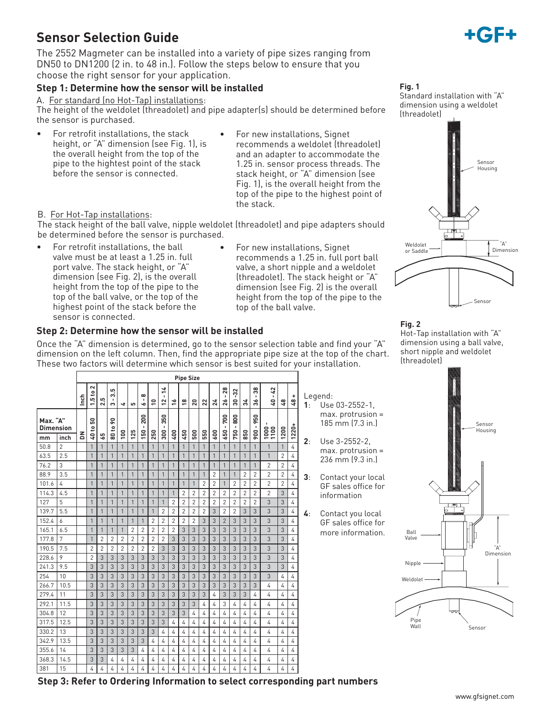# **Sensor Selection Guide**

The 2552 Magmeter can be installed into a variety of pipe sizes ranging from DN50 to DN1200 (2 in. to 48 in.). Follow the steps below to ensure that you choose the right sensor for your application.

#### **Step 1: Determine how the sensor will be installed**

A. For standard (no Hot-Tap) installations:

The height of the weldolet (threadolet) and pipe adapter(s) should be determined before the sensor is purchased.

- For retrofit installations, the stack height, or "A" dimension (see Fig. 1), is the overall height from the top of the pipe to the hightest point of the stack before the sensor is connected.
- For new installations, Signet recommends a weldolet (threadolet) and an adapter to accommodate the 1.25 in. sensor process threads. The stack height, or "A" dimension (see Fig. 1), is the overall height from the top of the pipe to the highest point of the stack.

#### B. For Hot-Tap installations:

The stack height of the ball valve, nipple weldolet (threadolet) and pipe adapters should be determined before the sensor is purchased.

- For retrofit installations, the ball valve must be at least a 1.25 in. full port valve. The stack height, or "A" dimension (see Fig. 2), is the overall height from the top of the pipe to the top of the ball valve, or the top of the highest point of the stack before the sensor is connected.
- For new installations, Signet recommends a 1.25 in. full port ball valve, a short nipple and a weldolet (threadolet). The stack height or "A" dimension (see Fig. 2) is the overall height from the top of the pipe to the top of the ball valve.

#### **Step 2: Determine how the sensor will be installed**

Once the "A" dimension is determined, go to the sensor selection table and find your "A" dimension on the left column. Then, find the appropriate pipe size at the top of the chart. These two factors will determine which sensor is best suited for your installation.

|                              |                | <b>Pipe Size</b> |                  |                |                         |                |                |                                 |                |                                     |                |                |                |                  |                  |                         |                            |                |                                 |                                     |                  |                    |                |                                           |
|------------------------------|----------------|------------------|------------------|----------------|-------------------------|----------------|----------------|---------------------------------|----------------|-------------------------------------|----------------|----------------|----------------|------------------|------------------|-------------------------|----------------------------|----------------|---------------------------------|-------------------------------------|------------------|--------------------|----------------|-------------------------------------------|
|                              |                | Inch             | $\sim$<br>1.5 to | 2.5            | 3.5<br>S                | 4              | ဖာ             | $\infty$<br>$\blacksquare$<br>ó | $\overline{1}$ | $\frac{1}{4}$<br>$\mathbf{I}$<br>12 | \$,            | °≌             | ន              | $\boldsymbol{z}$ | $\boldsymbol{z}$ | $-28$<br>$\frac{26}{5}$ | $-32$<br>ន                 | న              | 38<br>$\blacksquare$<br>న       | $-42$<br>G)                         | $\mathfrak{a}_7$ | ÷<br>$\frac{3}{4}$ | 1:             | Legend:<br>Use 03-2552-1,                 |
| Max. "A"<br><b>Dimension</b> | inch           | 좀                | 50<br>40 to      | 59             | $\overline{6}$<br>80 to | 100            | 125            | 200<br>150                      | 250            | 350<br>$\blacksquare$<br>300        | 400            | 450            | 500            | 550              | 600              | $-700$<br>650           | 800<br>$\mathbf{I}$<br>750 | 850            | ន<br>ᇹ<br>$\blacksquare$<br>900 | $\mathbf{I}$<br>$\frac{1000}{1100}$ | 1200             | $1220 +$           |                | $max.$ protrusion =<br>185 mm (7.3 in.)   |
| mm<br>50.8                   | $\overline{2}$ |                  | $\mathbf{1}$     | $\mathbf{1}$   | $\mathbf{1}$            | $\mathbf{1}$   | $\mathbf{1}$   | $\mathbf{1}$                    | 1              | $\mathbf{1}$                        | $\mathbf{1}$   | $\mathbf{1}$   | 1              | 1                | $\mathbf{1}$     | $\mathbf{1}$            | $\mathbf{1}$               | $\mathbf{1}$   | 1                               | $\mathbf{1}$                        | $\bigcirc$       | $\overline{4}$     | 2:             | Use 3-2552-2.                             |
| 63.5                         | 2.5            |                  | $\mathbf{1}$     | $\mathbf{1}$   | $\overline{1}$          | $\mathbf{1}$   | 1              | 1                               | 1              | $\mathbf{1}$                        | $\overline{1}$ | 1              | 1              | 1                | $\mathbf{1}$     | $\mathbf{1}$            | $\mathbf{1}$               | $\mathbf{1}$   | $\mathbf{1}$                    | $\mathbf{1}$                        | $\overline{2}$   | 4                  |                | $max.$ protrusion =                       |
| 76.2                         | 3              |                  | $\mathbf{1}$     | $\mathbf{1}$   | $\overline{1}$          | 1              | $\mathbf{1}$   | $\mathbf{1}$                    | $\mathbf{1}$   | $\mathbf{1}$                        | $\mathbf{1}$   | $\mathbf{1}$   | $\mathbf{1}$   | $\mathbf{1}$     | $\mathbf{1}$     | $\mathbf{1}$            | $\mathbf{1}$               | $\overline{1}$ | $\mathbf{1}$                    | $\overline{2}$                      | $\overline{2}$   | 4                  |                | 236 mm (9.3 in.)                          |
| 88.9                         | 3.5            |                  | $\mathbf{1}$     | $\mathbf{1}$   | $\overline{1}$          | $\mathbf{1}$   | $\mathbf{1}$   | $\mathbf{1}$                    | 1              | $\mathbf{1}$                        | $\mathbf{1}$   | $\mathbf{1}$   | $\mathbf{1}$   | $\mathbf{1}$     | $\overline{2}$   | $\mathbf{1}$            | $\mathbf{1}$               | $\overline{2}$ | $\overline{2}$                  | $\overline{2}$                      | $\overline{2}$   | 4                  | 3 <sub>1</sub> |                                           |
| 101.6                        | 4              |                  | $\mathbf{1}$     | $\mathbf{1}$   | $\mathbf{1}$            | 1              | 1              | 1                               | 1              | $\mathbf{1}$                        | $\mathbf{1}$   | $\mathbf{1}$   | 1              | 2                | $\overline{2}$   | $\mathbf{1}$            | $\overline{2}$             | $\overline{2}$ | $\overline{2}$                  | $\overline{c}$                      | $\overline{2}$   | $\overline{4}$     |                | Contact your local<br>GF sales office for |
| 114.3                        | 4.5            |                  | 1                | $\mathbf{1}$   | $\overline{1}$          | 1              | $\mathbf{1}$   | 1                               | 1              | $\mathbf{1}$                        | $\mathbf{1}$   | $\overline{2}$ | $\overline{2}$ | $\overline{2}$   | $\overline{2}$   | $\overline{2}$          | $\overline{2}$             | $\overline{2}$ | $\overline{2}$                  | $\overline{2}$                      | 3                | 4                  |                | information                               |
| 127                          | 5              |                  | $\mathbf{1}$     | $\mathbf{1}$   | $\overline{1}$          | $\mathbf{1}$   | $\mathbf{1}$   | $\mathbf{1}$                    | $\mathbf{1}$   | $\mathbf{1}$                        | $\overline{2}$ | $\overline{2}$ | $\overline{2}$ | $\overline{2}$   | $\overline{2}$   | $\overline{2}$          | $\overline{2}$             | $\overline{2}$ | $\overline{2}$                  | 3                                   | 3                | $\overline{4}$     |                |                                           |
| 139.7                        | 5.5            |                  | $\mathbf{1}$     | $\mathbf{1}$   | $\overline{1}$          | 1              | $\mathbf{1}$   | $\mathbf{1}$                    | $\mathbf{1}$   | $\overline{2}$                      | $\overline{2}$ | $\overline{2}$ | $\overline{2}$ | $\overline{c}$   | 3                | $\overline{2}$          | $\overline{2}$             | 3              | 3                               | 3                                   | 3                | 4                  | 4:             | Contact you local                         |
| 152.4                        | 6              |                  | 1                | $\mathbf{1}$   | $\overline{1}$          | $\mathbf{1}$   | $\mathbf{1}$   | $\mathbf{1}$                    | $\overline{2}$ | $\overline{2}$                      | $\overline{2}$ | $\overline{2}$ | $\overline{2}$ | 3                | $\mathfrak{Z}$   | $\overline{2}$          | 3                          | 3              | 3                               | 3                                   | 3                | $\overline{4}$     |                | GF sales office for                       |
| 165.1                        | 6.5            |                  | 1                | $\mathbf{1}$   | $\mathbf{1}$            | $\mathbf{1}$   | $\overline{2}$ | $\overline{2}$                  | $\overline{2}$ | $\overline{2}$                      | $\overline{2}$ | 3              | 3              | 3                | 3                | 3                       | 3                          | 3              | 3                               | 3                                   | 3                | 4                  |                | more information.                         |
| 177.8                        | 7              |                  | $\mathbf{1}$     | $\overline{2}$ | $\overline{2}$          | $\overline{2}$ | $\overline{2}$ | $\overline{2}$                  | $\overline{2}$ | $\overline{2}$                      | 3              | 3              | 3              | 3                | 3                | 3                       | 3                          | 3              | 3                               | 3                                   | 3                | 4                  |                |                                           |
| 190.5                        | 7.5            |                  | $\overline{2}$   | $\overline{2}$ | $\overline{2}$          | $\overline{2}$ | $\overline{2}$ | $\overline{2}$                  | $\overline{2}$ | 3                                   | 3              | 3              | 3              | 3                | 3                | 3                       | 3                          | 3              | 3                               | 3                                   | 3                | 4                  |                |                                           |
| 228.6                        | 9              |                  | $\overline{2}$   | 3              | 3                       | 3              | 3              | 3                               | 3              | 3                                   | 3              | 3              | 3              | 3                | 3                | 3                       | 3                          | 3              | 3                               | 3                                   | 3                | 4                  |                |                                           |
| 241.3                        | 9.5            |                  | 3                | 3              | 3                       | 3              | 3              | 3                               | 3              | 3                                   | 3              | 3              | 3              | 3                | 3                | 3                       | 3                          | 3              | 3                               | 3                                   | 3                | 4                  |                |                                           |
| 254                          | 10             |                  | 3                | 3              | 3                       | 3              | 3              | 3                               | 3              | 3                                   | 3              | 3              | 3              | 3                | 3                | 3                       | 3                          | 3              | 3                               | 3                                   | $\overline{4}$   | 4                  |                |                                           |
| 266.7                        | 10.5           |                  | 3                | 3              | 3                       | 3              | 3              | 3                               | 3              | 3                                   | 3              | 3              | 3              | 3                | 3                | 3                       | 3                          | 3              | 3                               | 4                                   | 4                | 4                  |                |                                           |
| 279.4                        | 11             |                  | 3                | 3              | 3                       | 3              | 3              | 3                               | 3              | 3                                   | 3              | 3              | 3              | 3                | $\overline{4}$   | 3                       | 3                          | 3              | 4                               | 4                                   | $\overline{4}$   | 4                  |                |                                           |
| 292.1                        | 11.5           |                  | 3                | 3              | 3                       | 3              | 3              | 3                               | 3              | 3                                   | 3              | 3              | 3              | 4                | 4                | 3                       | 4                          | 4              | 4                               | 4                                   | 4                | 4                  |                |                                           |
| 304.8                        | 12             |                  | 3                | 3              | 3                       | 3              | 3              | 3                               | 3              | 3                                   | 3              | 3              | 4              | 4                | 4                | 4                       | 4                          | 4              | 4                               | 4                                   | 4                | 4                  |                |                                           |
| 317.5                        | 12.5           |                  | 3                | 3              | 3                       | 3              | 3              | 3                               | 3              | 3                                   | $\overline{4}$ | 4              | 4              | 4                | $\overline{4}$   | 4                       | 4                          | 4              | 4                               | 4                                   | 4                | 4                  |                |                                           |
| 330.2                        | 13             |                  | 3                | 3              | 3                       | 3              | 3              | 3                               | 3              | $\overline{4}$                      | $\overline{4}$ | $\overline{4}$ | 4              | 4                | 4                | 4                       | 4                          | $\overline{4}$ | 4                               | 4                                   | $\overline{4}$   | 4                  |                |                                           |
| 342.9                        | 13.5           |                  | 3                | 3              | 3                       | 3              | 3              | 3                               | 4              | 4                                   | $\overline{4}$ | 4              | 4              | 4                | 4                | 4                       | 4                          | 4              | 4                               | 4                                   | 4                | 4                  |                |                                           |
| 355.6                        | 14             |                  | 3                | 3              | 3                       | 3              | 3              | 4                               | 4              | 4                                   | $\overline{4}$ | $\overline{4}$ | 4              | 4                | $\overline{4}$   | 4                       | 4                          | $\overline{4}$ | 4                               | 4                                   | $\overline{4}$   | $\overline{4}$     |                |                                           |
| 368.3                        | 14.5           |                  | 3                | 3              | 4                       | 4              | 4              | 4                               | 4              | $\overline{4}$                      | 4              | 4              | 4              | 4                | $\overline{4}$   | 4                       | 4                          | 4              | 4                               | 4                                   | 4                | 4                  |                |                                           |
| 381                          | 15             |                  | 4                | 4              | 4                       | 4              | 4              | 4                               | 4              | 4                                   | 4              | 4              | 4              | 4                | 4                | 4                       | 4                          | 4              | 4                               | 4                                   | 4                | 4                  |                |                                           |



Standard installation with "A" dimension using a weldolet (threadolet)



#### **Fig. 2**

Hot-Tap installation with "A" dimension using a ball valve, short nipple and weldolet (threadolet)



**Step 3: Refer to Ordering Information to select corresponding part numbers**